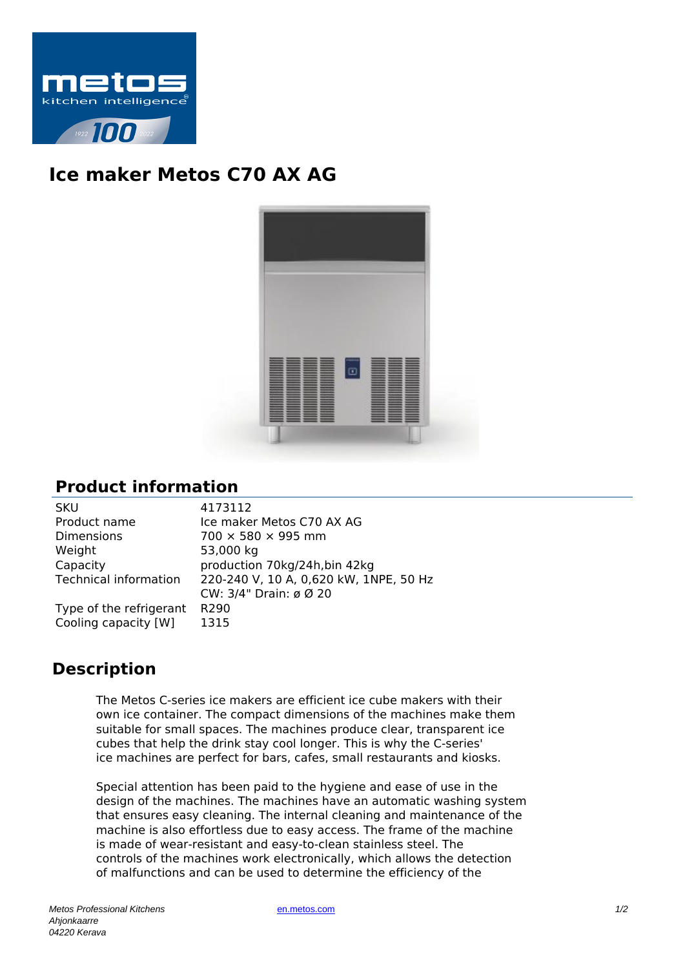

## **Ice maker Metos C70 AX AG**



## **Product information**

| <b>SKU</b>                   | 4173112                                |
|------------------------------|----------------------------------------|
| Product name                 | Ice maker Metos C70 AX AG              |
| <b>Dimensions</b>            | $700 \times 580 \times 995$ mm         |
| Weight                       | 53,000 kg                              |
| Capacity                     | production 70kg/24h, bin 42kg          |
| <b>Technical information</b> | 220-240 V, 10 A, 0,620 kW, 1NPE, 50 Hz |
|                              | CW: 3/4" Drain: ø Ø 20                 |
| Type of the refrigerant      | R290                                   |
| Cooling capacity [W]         | 1315                                   |
|                              |                                        |

## **Description**

The Metos C-series ice makers are efficient ice cube makers with their own ice container. The compact dimensions of the machines make them suitable for small spaces. The machines produce clear, transparent ice cubes that help the drink stay cool longer. This is why the C-series' ice machines are perfect for bars, cafes, small restaurants and kiosks.

Special attention has been paid to the hygiene and ease of use in the design of the machines. The machines have an automatic washing system that ensures easy cleaning. The internal cleaning and maintenance of the machine is also effortless due to easy access. The frame of the machine is made of wear-resistant and easy-to-clean stainless steel. The controls of the machines work electronically, which allows the detection of malfunctions and can be used to determine the efficiency of the